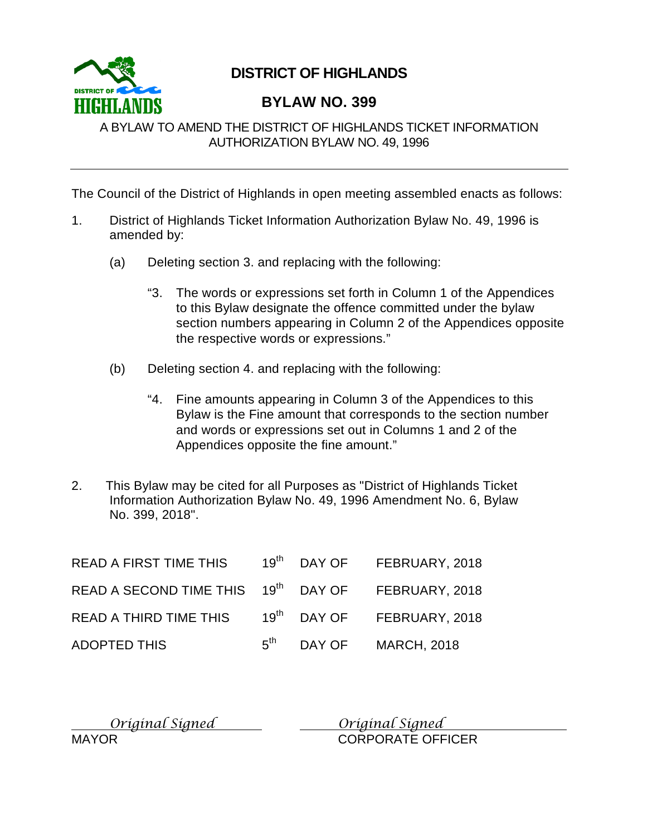

# **DISTRICT OF HIGHLANDS**

# **BYLAW NO. 399**

A BYLAW TO AMEND THE DISTRICT OF HIGHLANDS TICKET INFORMATION AUTHORIZATION BYLAW NO. 49, 1996

The Council of the District of Highlands in open meeting assembled enacts as follows:

- 1. District of Highlands Ticket Information Authorization Bylaw No. 49, 1996 is amended by:
	- (a) Deleting section 3. and replacing with the following:
		- "3. The words or expressions set forth in Column 1 of the Appendices to this Bylaw designate the offence committed under the bylaw section numbers appearing in Column 2 of the Appendices opposite the respective words or expressions."
	- (b) Deleting section 4. and replacing with the following:
		- "4. Fine amounts appearing in Column 3 of the Appendices to this Bylaw is the Fine amount that corresponds to the section number and words or expressions set out in Columns 1 and 2 of the Appendices opposite the fine amount."
- 2. This Bylaw may be cited for all Purposes as "District of Highlands Ticket Information Authorization Bylaw No. 49, 1996 Amendment No. 6, Bylaw No. 399, 2018".

| <b>READ A FIRST TIME THIS</b>                                  |                        | 19 <sup>th</sup> DAY OF FEBRUARY, 2018 |
|----------------------------------------------------------------|------------------------|----------------------------------------|
| READ A SECOND TIME THIS 19 <sup>th</sup> DAY OF FEBRUARY, 2018 |                        |                                        |
| READ A THIRD TIME THIS                                         |                        | 19 <sup>th</sup> DAY OF FEBRUARY, 2018 |
| ADOPTED THIS                                                   | $5^{\text{th}}$ DAY OF | <b>MARCH, 2018</b>                     |

| Original Signed | Original Signed          |
|-----------------|--------------------------|
| <b>MAYOR</b>    | <b>CORPORATE OFFICER</b> |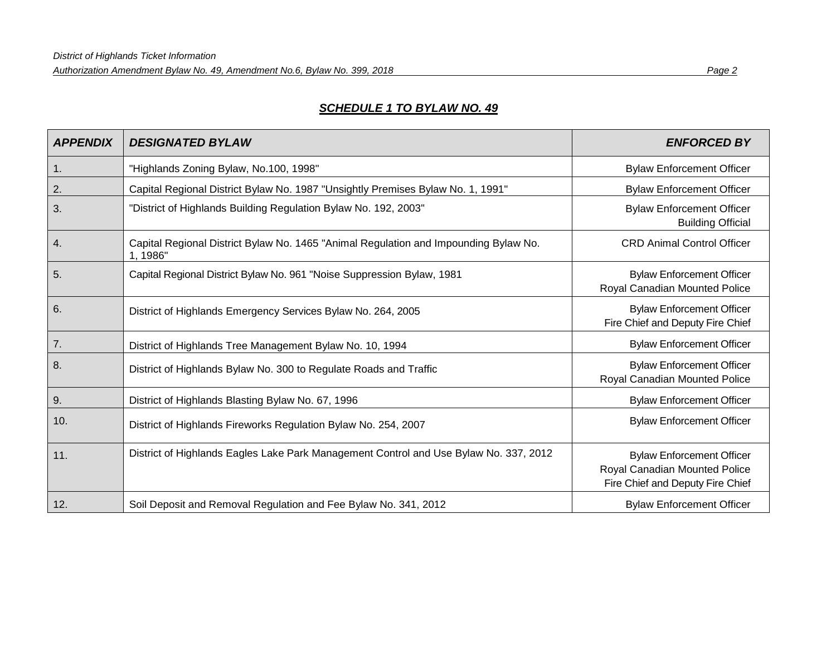# *SCHEDULE 1 TO BYLAW NO. 49*

| <b>APPENDIX</b> | <b>DESIGNATED BYLAW</b>                                                                          | <b>ENFORCED BY</b>                                                                                    |
|-----------------|--------------------------------------------------------------------------------------------------|-------------------------------------------------------------------------------------------------------|
| 1.              | "Highlands Zoning Bylaw, No.100, 1998"                                                           | <b>Bylaw Enforcement Officer</b>                                                                      |
| 2.              | Capital Regional District Bylaw No. 1987 "Unsightly Premises Bylaw No. 1, 1991"                  | <b>Bylaw Enforcement Officer</b>                                                                      |
| 3.              | "District of Highlands Building Regulation Bylaw No. 192, 2003"                                  | <b>Bylaw Enforcement Officer</b><br><b>Building Official</b>                                          |
| 4.              | Capital Regional District Bylaw No. 1465 "Animal Regulation and Impounding Bylaw No.<br>1, 1986" | <b>CRD Animal Control Officer</b>                                                                     |
| 5.              | Capital Regional District Bylaw No. 961 "Noise Suppression Bylaw, 1981                           | <b>Bylaw Enforcement Officer</b><br>Royal Canadian Mounted Police                                     |
| 6.              | District of Highlands Emergency Services Bylaw No. 264, 2005                                     | <b>Bylaw Enforcement Officer</b><br>Fire Chief and Deputy Fire Chief                                  |
| 7.              | District of Highlands Tree Management Bylaw No. 10, 1994                                         | <b>Bylaw Enforcement Officer</b>                                                                      |
| 8.              | District of Highlands Bylaw No. 300 to Regulate Roads and Traffic                                | <b>Bylaw Enforcement Officer</b><br>Royal Canadian Mounted Police                                     |
| 9.              | District of Highlands Blasting Bylaw No. 67, 1996                                                | <b>Bylaw Enforcement Officer</b>                                                                      |
| 10.             | District of Highlands Fireworks Regulation Bylaw No. 254, 2007                                   | <b>Bylaw Enforcement Officer</b>                                                                      |
| 11.             | District of Highlands Eagles Lake Park Management Control and Use Bylaw No. 337, 2012            | <b>Bylaw Enforcement Officer</b><br>Royal Canadian Mounted Police<br>Fire Chief and Deputy Fire Chief |
| 12.             | Soil Deposit and Removal Regulation and Fee Bylaw No. 341, 2012                                  | <b>Bylaw Enforcement Officer</b>                                                                      |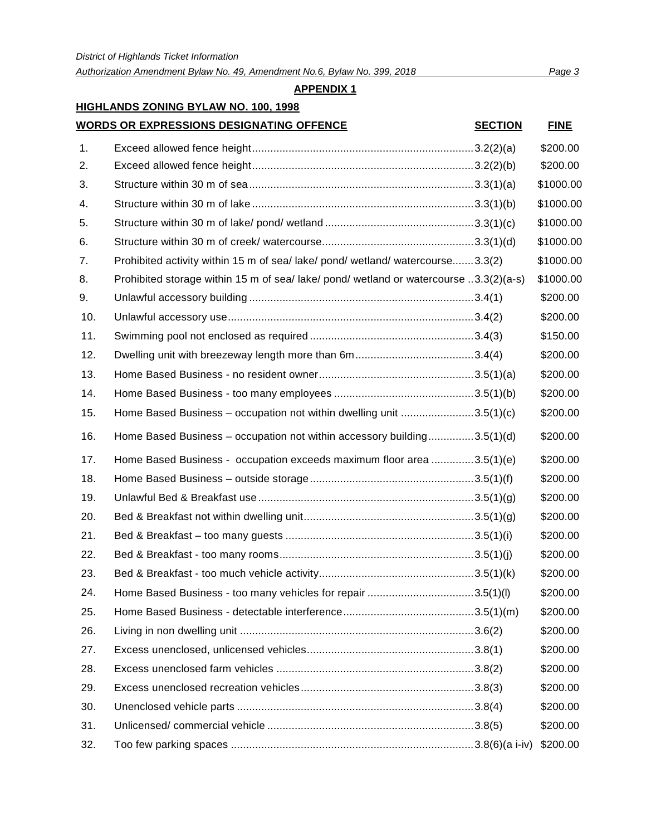*Authorization Amendment Bylaw No. 49, Amendment No.6, Bylaw No. 399, 2018 Page 3*

## **APPENDIX 1**

# **HIGHLANDS ZONING BYLAW NO. 100, 1998**

# **WORDS OR EXPRESSIONS DESIGNATING OFFENCE SECTION FINE**

| 1.  |                                                                                       | \$200.00  |
|-----|---------------------------------------------------------------------------------------|-----------|
| 2.  |                                                                                       | \$200.00  |
| 3.  |                                                                                       | \$1000.00 |
| 4.  |                                                                                       | \$1000.00 |
| 5.  |                                                                                       | \$1000.00 |
| 6.  |                                                                                       | \$1000.00 |
| 7.  | Prohibited activity within 15 m of sea/ lake/ pond/ wetland/ watercourse3.3(2)        | \$1000.00 |
| 8.  | Prohibited storage within 15 m of sea/ lake/ pond/ wetland or watercourse 3.3(2)(a-s) | \$1000.00 |
| 9.  |                                                                                       | \$200.00  |
| 10. |                                                                                       | \$200.00  |
| 11. |                                                                                       | \$150.00  |
| 12. |                                                                                       | \$200.00  |
| 13. |                                                                                       | \$200.00  |
| 14. |                                                                                       | \$200.00  |
| 15. | Home Based Business - occupation not within dwelling unit 3.5(1)(c)                   | \$200.00  |
| 16. | Home Based Business - occupation not within accessory building3.5(1)(d)               | \$200.00  |
| 17. | Home Based Business - occupation exceeds maximum floor area 3.5(1)(e)                 | \$200.00  |
| 18. |                                                                                       | \$200.00  |
| 19. |                                                                                       | \$200.00  |
| 20. |                                                                                       | \$200.00  |
| 21. |                                                                                       | \$200.00  |
| 22. |                                                                                       | \$200.00  |
| 23. |                                                                                       | \$200.00  |
| 24. | Home Based Business - too many vehicles for repair 3.5(1)(l)                          | \$200.00  |
| 25. |                                                                                       | \$200.00  |
| 26. |                                                                                       | \$200.00  |
| 27. |                                                                                       | \$200.00  |
| 28. |                                                                                       | \$200.00  |
| 29. |                                                                                       | \$200.00  |
| 30. |                                                                                       | \$200.00  |
| 31. |                                                                                       | \$200.00  |
| 32. |                                                                                       | \$200.00  |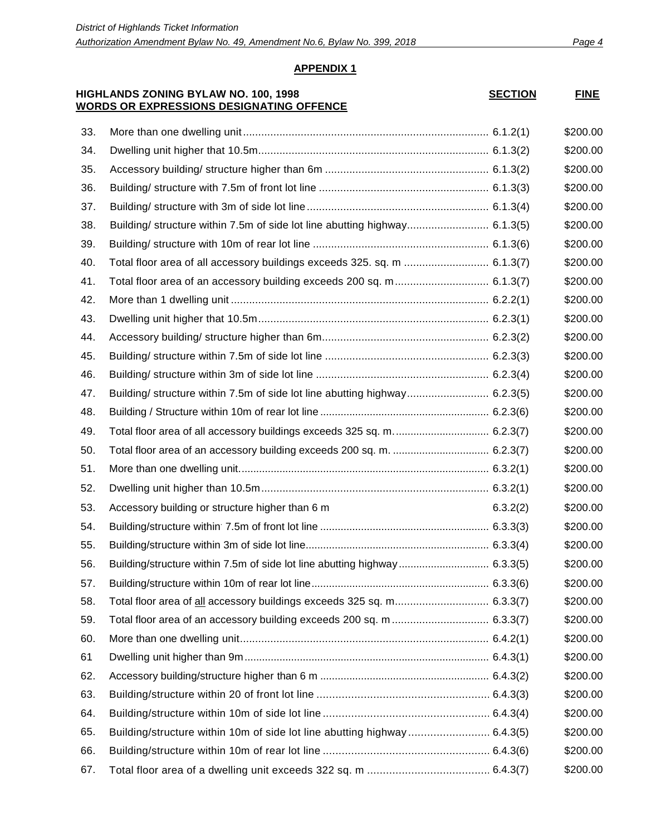#### **HIGHLANDS ZONING BYLAW NO. 100, 1998 WORDS OR EXPRESSIONS DESIGNATING OFFENCE**

| <b>SECTION</b> | <b>FINE</b> |
|----------------|-------------|
|----------------|-------------|

| 33. |                                                                            |          | \$200.00 |
|-----|----------------------------------------------------------------------------|----------|----------|
| 34. |                                                                            |          | \$200.00 |
| 35. |                                                                            |          | \$200.00 |
| 36. |                                                                            |          | \$200.00 |
| 37. |                                                                            |          | \$200.00 |
| 38. | Building/ structure within 7.5m of side lot line abutting highway 6.1.3(5) |          | \$200.00 |
| 39. |                                                                            |          | \$200.00 |
| 40. | Total floor area of all accessory buildings exceeds 325. sq. m  6.1.3(7)   |          | \$200.00 |
| 41. |                                                                            |          | \$200.00 |
| 42. |                                                                            |          | \$200.00 |
| 43. |                                                                            |          | \$200.00 |
| 44. |                                                                            |          | \$200.00 |
| 45. |                                                                            |          | \$200.00 |
| 46. |                                                                            |          | \$200.00 |
| 47. | Building/ structure within 7.5m of side lot line abutting highway 6.2.3(5) |          | \$200.00 |
| 48. |                                                                            |          | \$200.00 |
| 49. | Total floor area of all accessory buildings exceeds 325 sq. m 6.2.3(7)     |          | \$200.00 |
| 50. |                                                                            |          | \$200.00 |
| 51. |                                                                            |          | \$200.00 |
| 52. |                                                                            |          | \$200.00 |
| 53. | Accessory building or structure higher than 6 m                            | 6.3.2(2) | \$200.00 |
| 54. |                                                                            |          | \$200.00 |
| 55. |                                                                            |          | \$200.00 |
| 56. | Building/structure within 7.5m of side lot line abutting highway 6.3.3(5)  |          | \$200.00 |
| 57. |                                                                            |          | \$200.00 |
| 58. | Total floor area of all accessory buildings exceeds 325 sq. m 6.3.3(7)     |          | \$200.00 |
| 59. |                                                                            |          | \$200.00 |
| 60. |                                                                            |          | \$200.00 |
| 61  |                                                                            |          | \$200.00 |
| 62. |                                                                            |          | \$200.00 |
| 63. |                                                                            |          | \$200.00 |
| 64. |                                                                            |          | \$200.00 |
| 65. |                                                                            |          | \$200.00 |
| 66. |                                                                            |          | \$200.00 |
| 67. |                                                                            |          | \$200.00 |
|     |                                                                            |          |          |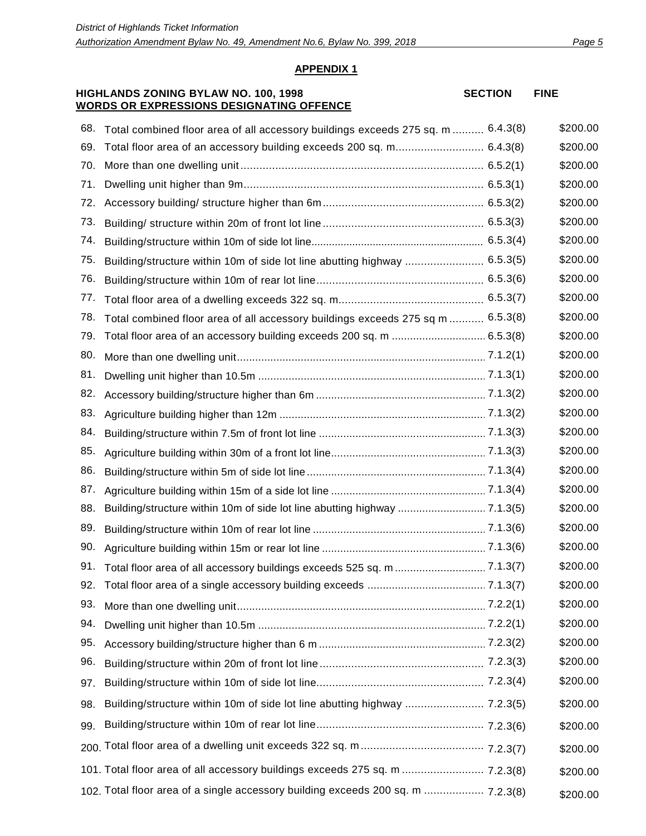**SECTION FINE**

#### **APPENDIX 1**

#### **HIGHLANDS ZONING BYLAW NO. 100, 1998 WORDS OR EXPRESSIONS DESIGNATING OFFENCE**

| 68. | Total combined floor area of all accessory buildings exceeds 275 sq. m  6.4.3(8) | \$200.00 |
|-----|----------------------------------------------------------------------------------|----------|
| 69. | Total floor area of an accessory building exceeds 200 sq. m 6.4.3(8)             | \$200.00 |
| 70. |                                                                                  | \$200.00 |
| 71. |                                                                                  | \$200.00 |
| 72. |                                                                                  | \$200.00 |
| 73. |                                                                                  | \$200.00 |
| 74. |                                                                                  | \$200.00 |
| 75. | Building/structure within 10m of side lot line abutting highway  6.5.3(5)        | \$200.00 |
| 76. |                                                                                  | \$200.00 |
| 77. |                                                                                  | \$200.00 |
| 78. | Total combined floor area of all accessory buildings exceeds 275 sq m  6.5.3(8)  | \$200.00 |
| 79. |                                                                                  | \$200.00 |
| 80. |                                                                                  | \$200.00 |
| 81. |                                                                                  | \$200.00 |
| 82. |                                                                                  | \$200.00 |
| 83. |                                                                                  | \$200.00 |
| 84. |                                                                                  | \$200.00 |
| 85. |                                                                                  | \$200.00 |
| 86. |                                                                                  | \$200.00 |
| 87. |                                                                                  | \$200.00 |
| 88. |                                                                                  | \$200.00 |
| 89. |                                                                                  | \$200.00 |
| 90. |                                                                                  | \$200.00 |
| 91. |                                                                                  | \$200.00 |
| 92. |                                                                                  | \$200.00 |
| 93. |                                                                                  | \$200.00 |
| 94. |                                                                                  | \$200.00 |
| 95. |                                                                                  | \$200.00 |
| 96. |                                                                                  | \$200.00 |
| 97. |                                                                                  | \$200.00 |
| 98. | Building/structure within 10m of side lot line abutting highway  7.2.3(5)        | \$200.00 |
| 99. |                                                                                  | \$200.00 |
|     |                                                                                  | \$200.00 |
|     | 101. Total floor area of all accessory buildings exceeds 275 sq. m  7.2.3(8)     | \$200.00 |
|     | 102. Total floor area of a single accessory building exceeds 200 sq. m  7.2.3(8) | \$200.00 |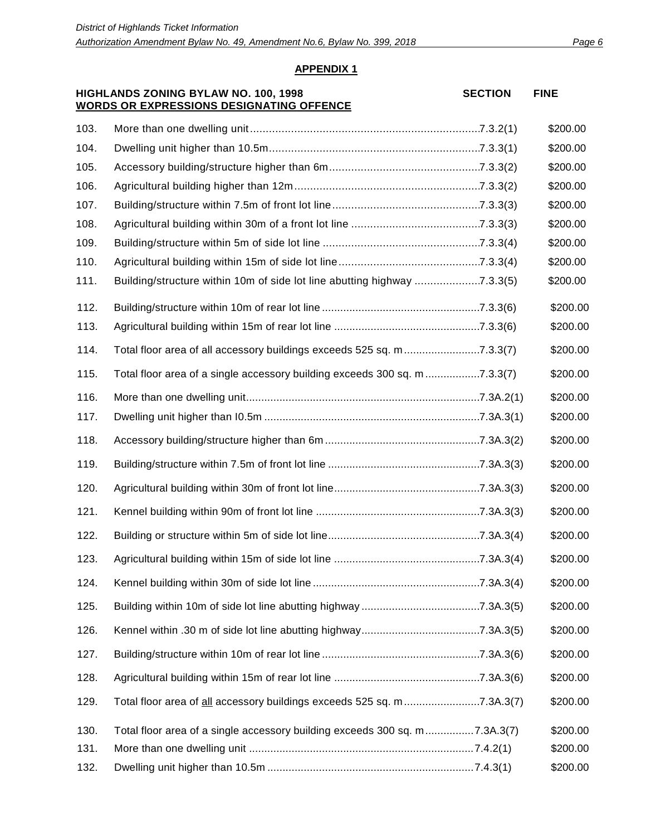#### **HIGHLANDS ZONING BYLAW NO. 100, 1998 WORDS OR EXPRESSIONS DESIGNATING OFFENCE**

**SECTION FINE**

| 103. |                                                                            | \$200.00 |
|------|----------------------------------------------------------------------------|----------|
| 104. |                                                                            | \$200.00 |
| 105. |                                                                            | \$200.00 |
| 106. |                                                                            | \$200.00 |
| 107. |                                                                            | \$200.00 |
| 108. |                                                                            | \$200.00 |
| 109. |                                                                            | \$200.00 |
| 110. |                                                                            | \$200.00 |
| 111. | Building/structure within 10m of side lot line abutting highway 7.3.3(5)   | \$200.00 |
| 112. |                                                                            | \$200.00 |
| 113. |                                                                            | \$200.00 |
| 114. | Total floor area of all accessory buildings exceeds 525 sq. m7.3.3(7)      | \$200.00 |
| 115. | Total floor area of a single accessory building exceeds 300 sq. m 7.3.3(7) | \$200.00 |
| 116. |                                                                            | \$200.00 |
| 117. |                                                                            | \$200.00 |
| 118. |                                                                            | \$200.00 |
| 119. |                                                                            | \$200.00 |
| 120. |                                                                            | \$200.00 |
| 121. |                                                                            | \$200.00 |
| 122. |                                                                            | \$200.00 |
| 123. |                                                                            | \$200.00 |
| 124. |                                                                            | \$200.00 |
| 125. |                                                                            | \$200.00 |
| 126. |                                                                            | \$200.00 |
| 127. |                                                                            | \$200.00 |
| 128. |                                                                            | \$200.00 |
| 129. | Total floor area of all accessory buildings exceeds 525 sq. m7.3A.3(7)     | \$200.00 |
| 130. | Total floor area of a single accessory building exceeds 300 sq. m7.3A.3(7) | \$200.00 |
| 131. |                                                                            | \$200.00 |
| 132. |                                                                            | \$200.00 |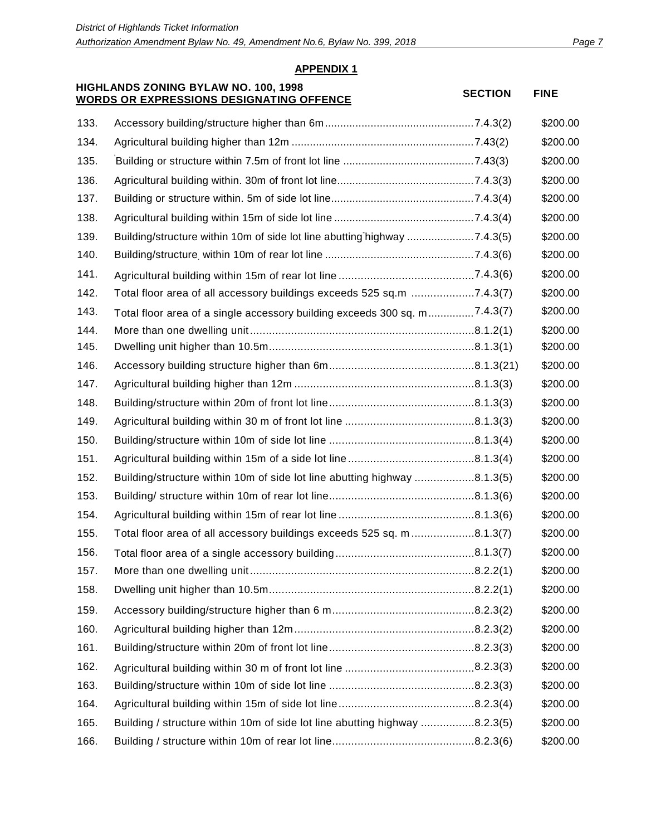#### **HIGHLANDS ZONING BYLAW NO. 100, 1998 WORDS ON EXPRESSIONS DESIGNATING OFFENCE** SECTION FINE

| 133. |                                                                            | \$200.00 |
|------|----------------------------------------------------------------------------|----------|
| 134. |                                                                            | \$200.00 |
| 135. |                                                                            | \$200.00 |
| 136. |                                                                            | \$200.00 |
| 137. |                                                                            | \$200.00 |
| 138. |                                                                            | \$200.00 |
| 139. | Building/structure within 10m of side lot line abutting highway 7.4.3(5)   | \$200.00 |
| 140. |                                                                            | \$200.00 |
| 141. |                                                                            | \$200.00 |
| 142. | Total floor area of all accessory buildings exceeds 525 sq.m 7.4.3(7)      | \$200.00 |
| 143. | Total floor area of a single accessory building exceeds 300 sq. m7.4.3(7)  | \$200.00 |
| 144. |                                                                            | \$200.00 |
| 145. |                                                                            | \$200.00 |
| 146. |                                                                            | \$200.00 |
| 147. |                                                                            | \$200.00 |
| 148. |                                                                            | \$200.00 |
| 149. |                                                                            | \$200.00 |
| 150. |                                                                            | \$200.00 |
| 151. |                                                                            | \$200.00 |
| 152. | Building/structure within 10m of side lot line abutting highway 8.1.3(5)   | \$200.00 |
| 153. |                                                                            | \$200.00 |
| 154. |                                                                            | \$200.00 |
| 155. | Total floor area of all accessory buildings exceeds 525 sq. m8.1.3(7)      | \$200.00 |
| 156. |                                                                            | \$200.00 |
| 157. |                                                                            | \$200.00 |
| 158. |                                                                            | \$200.00 |
| 159. |                                                                            | \$200.00 |
| 160. |                                                                            | \$200.00 |
| 161. |                                                                            | \$200.00 |
| 162. |                                                                            | \$200.00 |
| 163. |                                                                            | \$200.00 |
| 164. |                                                                            | \$200.00 |
| 165. | Building / structure within 10m of side lot line abutting highway 8.2.3(5) | \$200.00 |
| 166. |                                                                            | \$200.00 |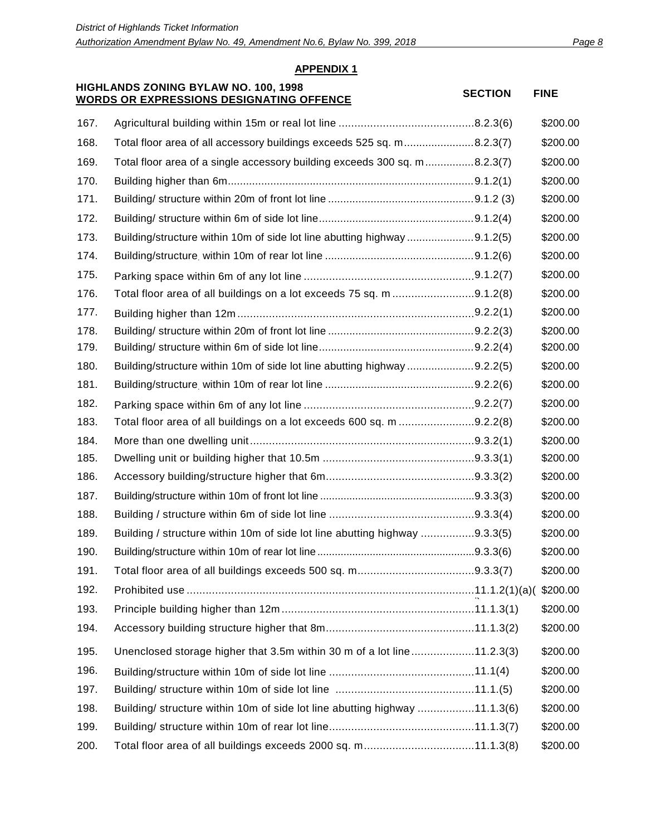#### **HIGHLANDS ZONING BYLAW NO. 100, 1998 WORDS ON EXPRESSIONS DESIGNATING OFFENCE** SECTION FINE

| 167. |                                                                            | \$200.00 |
|------|----------------------------------------------------------------------------|----------|
| 168. | Total floor area of all accessory buildings exceeds 525 sq. m8.2.3(7)      | \$200.00 |
| 169. | Total floor area of a single accessory building exceeds 300 sq. m8.2.3(7)  | \$200.00 |
| 170. |                                                                            | \$200.00 |
| 171. |                                                                            | \$200.00 |
| 172. |                                                                            | \$200.00 |
| 173. | Building/structure within 10m of side lot line abutting highway 9.1.2(5)   | \$200.00 |
| 174. |                                                                            | \$200.00 |
| 175. |                                                                            | \$200.00 |
| 176. | Total floor area of all buildings on a lot exceeds 75 sq. m 9.1.2(8)       | \$200.00 |
| 177. |                                                                            | \$200.00 |
| 178. |                                                                            | \$200.00 |
| 179. |                                                                            | \$200.00 |
| 180. | Building/structure within 10m of side lot line abutting highway 9.2.2(5)   | \$200.00 |
| 181. |                                                                            | \$200.00 |
| 182. |                                                                            | \$200.00 |
| 183. | Total floor area of all buildings on a lot exceeds 600 sq. m 9.2.2(8)      | \$200.00 |
| 184. |                                                                            | \$200.00 |
| 185. |                                                                            | \$200.00 |
| 186. |                                                                            | \$200.00 |
| 187. |                                                                            | \$200.00 |
| 188. |                                                                            | \$200.00 |
| 189. | Building / structure within 10m of side lot line abutting highway 9.3.3(5) | \$200.00 |
| 190. |                                                                            | \$200.00 |
| 191. |                                                                            | \$200.00 |
| 192. |                                                                            | \$200.00 |
| 193. |                                                                            | \$200.00 |
| 194. |                                                                            | \$200.00 |
| 195. | Unenclosed storage higher that 3.5m within 30 m of a lot line11.2.3(3)     | \$200.00 |
| 196. |                                                                            | \$200.00 |
| 197. |                                                                            | \$200.00 |
| 198. | Building/ structure within 10m of side lot line abutting highway 11.1.3(6) | \$200.00 |
| 199. |                                                                            | \$200.00 |
| 200. | Total floor area of all buildings exceeds 2000 sq. m11.1.3(8)              | \$200.00 |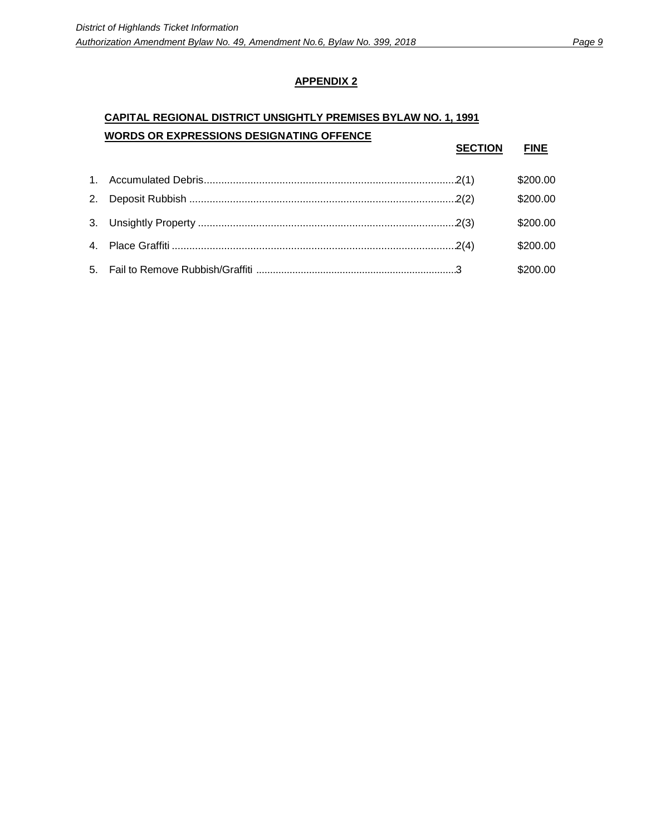# **CAPITAL REGIONAL DISTRICT UNSIGHTLY PREMISES BYLAW NO. 1, 1991 WORDS OR EXPRESSIONS DESIGNATING OFFENCE**

|  | <b>SECTION</b> | <b>FINE</b> |
|--|----------------|-------------|
|  |                | \$200.00    |
|  |                | \$200.00    |
|  |                | \$200.00    |
|  |                | \$200.00    |
|  |                | \$200.00    |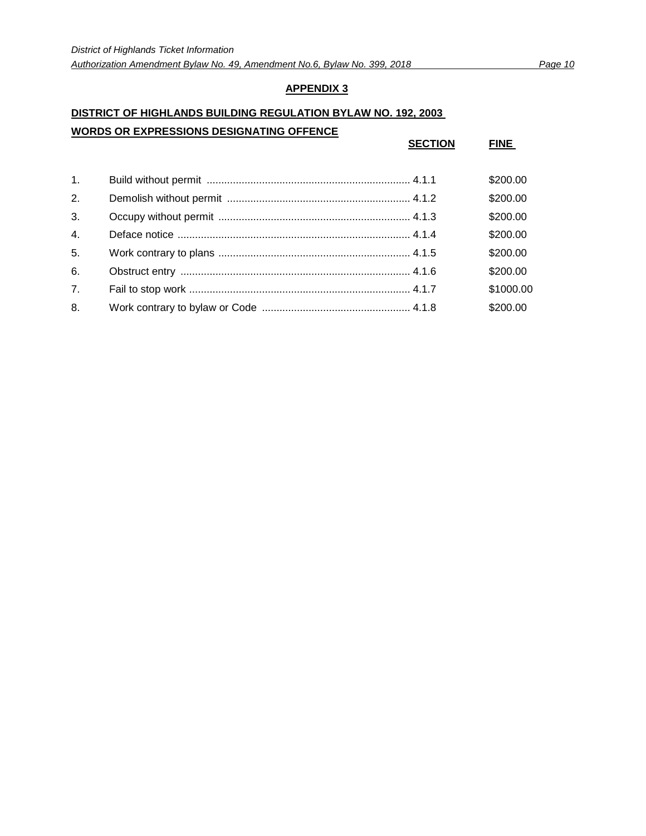## **DISTRICT OF HIGHLANDS BUILDING REGULATION BYLAW NO. 192, 2003**

#### **WORDS OR EXPRESSIONS DESIGNATING OFFENCE**

|                  | <b>SECTION</b> | <b>FINE</b> |
|------------------|----------------|-------------|
| 1 <sub>1</sub>   |                | \$200.00    |
| 2.               |                | \$200.00    |
| 3.               |                | \$200.00    |
| $\overline{4}$ . |                | \$200.00    |
| 5.               |                | \$200.00    |
| 6.               |                | \$200.00    |
| 7 <sub>1</sub>   |                | \$1000.00   |
| 8.               |                | \$200.00    |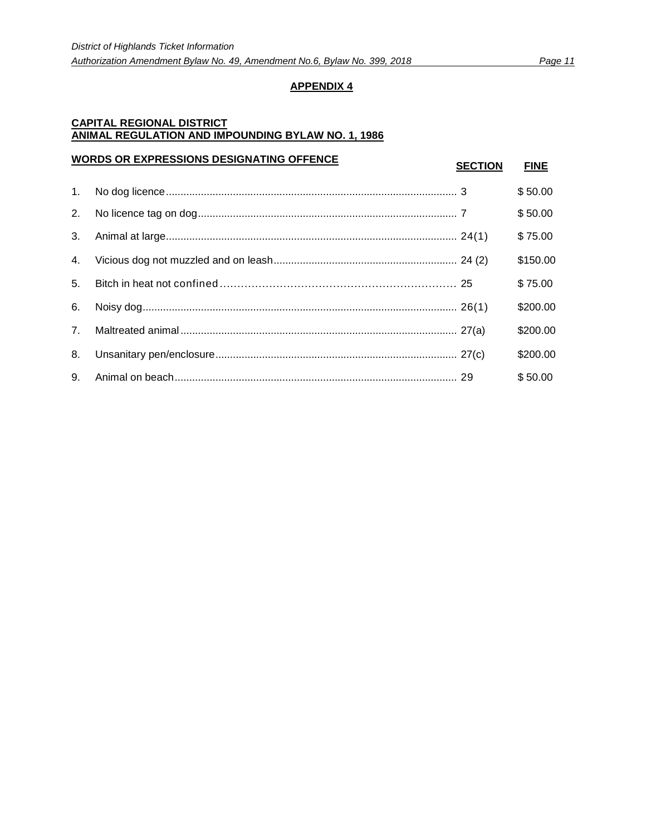## **CAPITAL REGIONAL DISTRICT ANIMAL REGULATION AND IMPOUNDING BYLAW NO. 1, 1986**

| <b>WORDS OR EXPRESSIONS DESIGNATING OFFENCE</b> |  | <b>SECTION</b> | <b>FINE</b> |
|-------------------------------------------------|--|----------------|-------------|
| $1_{\cdot}$                                     |  |                | \$50.00     |
| 2.                                              |  |                | \$50.00     |
| 3.                                              |  |                | \$75.00     |
| 4.                                              |  |                | \$150.00    |
| 5.                                              |  |                | \$75.00     |
| 6.                                              |  |                | \$200.00    |
| 7.                                              |  |                | \$200.00    |
| 8.                                              |  |                | \$200.00    |
| 9.                                              |  |                | \$50.00     |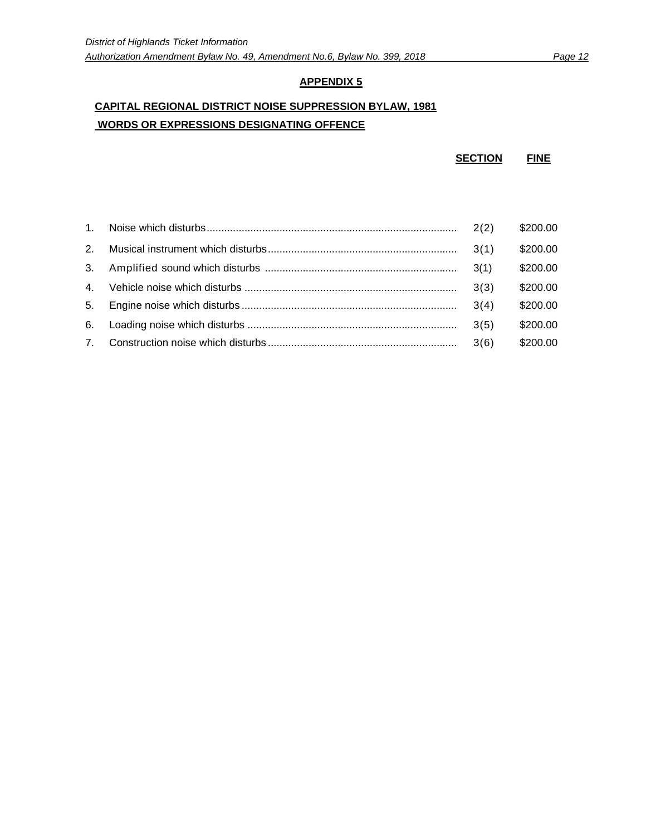# **CAPITAL REGIONAL DISTRICT NOISE SUPPRESSION BYLAW, 1981 WORDS OR EXPRESSIONS DESIGNATING OFFENCE**

**SECTION FINE**

|                | 2(2) | \$200.00 |
|----------------|------|----------|
| 2 <sup>1</sup> |      | \$200.00 |
| 3.             | 3(1) | \$200.00 |
| 4 <sup>1</sup> | 3(3) | \$200.00 |
| 5.             | 3(4) | \$200.00 |
| 6.             | 3(5) | \$200.00 |
| 7 <sup>1</sup> |      | \$200.00 |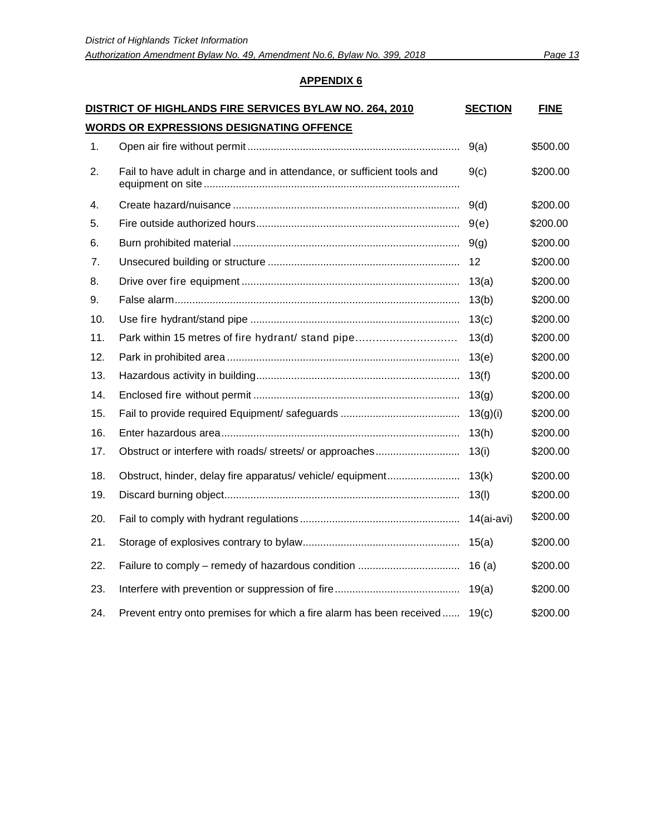| DISTRICT OF HIGHLANDS FIRE SERVICES BYLAW NO. 264, 2010<br><b>SECTION</b> |                                                                         |            | <b>FINE</b> |  |  |
|---------------------------------------------------------------------------|-------------------------------------------------------------------------|------------|-------------|--|--|
| <u>WORDS OR EXPRESSIONS DESIGNATING OFFENCE</u>                           |                                                                         |            |             |  |  |
| 1.                                                                        |                                                                         | 9(a)       | \$500.00    |  |  |
| 2.                                                                        | Fail to have adult in charge and in attendance, or sufficient tools and | 9(c)       | \$200.00    |  |  |
| 4.                                                                        |                                                                         | 9(d)       | \$200.00    |  |  |
| 5.                                                                        |                                                                         | 9(e)       | \$200.00    |  |  |
| 6.                                                                        |                                                                         | 9(g)       | \$200.00    |  |  |
| 7.                                                                        |                                                                         | 12         | \$200.00    |  |  |
| 8.                                                                        |                                                                         | 13(a)      | \$200.00    |  |  |
| 9.                                                                        |                                                                         | 13(b)      | \$200.00    |  |  |
| 10.                                                                       |                                                                         | 13(c)      | \$200.00    |  |  |
| 11.                                                                       | Park within 15 metres of fire hydrant/ stand pipe                       | 13(d)      | \$200.00    |  |  |
| 12.                                                                       |                                                                         | 13(e)      | \$200.00    |  |  |
| 13.                                                                       |                                                                         | 13(f)      | \$200.00    |  |  |
| 14.                                                                       |                                                                         | 13(g)      | \$200.00    |  |  |
| 15.                                                                       |                                                                         | 13(g)(i)   | \$200.00    |  |  |
| 16.                                                                       |                                                                         | 13(h)      | \$200.00    |  |  |
| 17.                                                                       |                                                                         | 13(i)      | \$200.00    |  |  |
| 18.                                                                       | Obstruct, hinder, delay fire apparatus/ vehicle/ equipment              | 13(k)      | \$200.00    |  |  |
| 19.                                                                       |                                                                         | 13(1)      | \$200.00    |  |  |
| 20.                                                                       |                                                                         | 14(ai-avi) | \$200.00    |  |  |
| 21.                                                                       |                                                                         | 15(a)      | \$200.00    |  |  |
| 22.                                                                       |                                                                         | 16(a)      | \$200.00    |  |  |
| 23.                                                                       |                                                                         | 19(a)      | \$200.00    |  |  |
| 24.                                                                       | Prevent entry onto premises for which a fire alarm has been received    | 19(c)      | \$200.00    |  |  |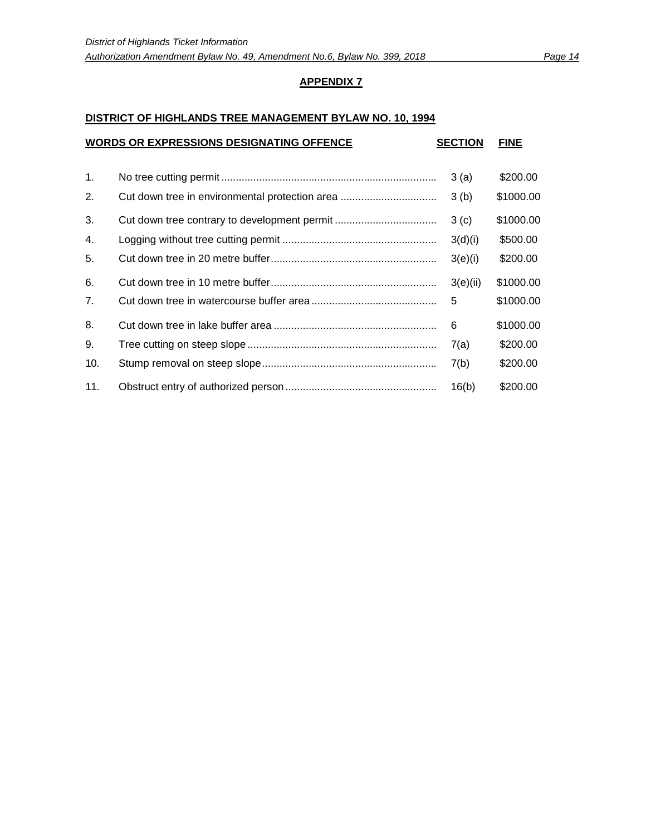#### **DISTRICT OF HIGHLANDS TREE MANAGEMENT BYLAW NO. 10, 1994**

| <b>WORDS OR EXPRESSIONS DESIGNATING OFFENCE</b> |  |          | <b>FINE</b> |
|-------------------------------------------------|--|----------|-------------|
| 1.                                              |  | 3(a)     | \$200.00    |
| 2.                                              |  | 3(b)     | \$1000.00   |
| 3.                                              |  | 3(c)     | \$1000.00   |
| 4.                                              |  | 3(d)(i)  | \$500.00    |
| 5.                                              |  | 3(e)(i)  | \$200.00    |
| 6.                                              |  | 3(e)(ii) | \$1000.00   |
| 7 <sub>1</sub>                                  |  | 5        | \$1000.00   |
| 8.                                              |  | 6        | \$1000.00   |
| 9.                                              |  | 7(a)     | \$200.00    |
| 10.                                             |  | 7(b)     | \$200.00    |
| 11.                                             |  | 16(b)    | \$200.00    |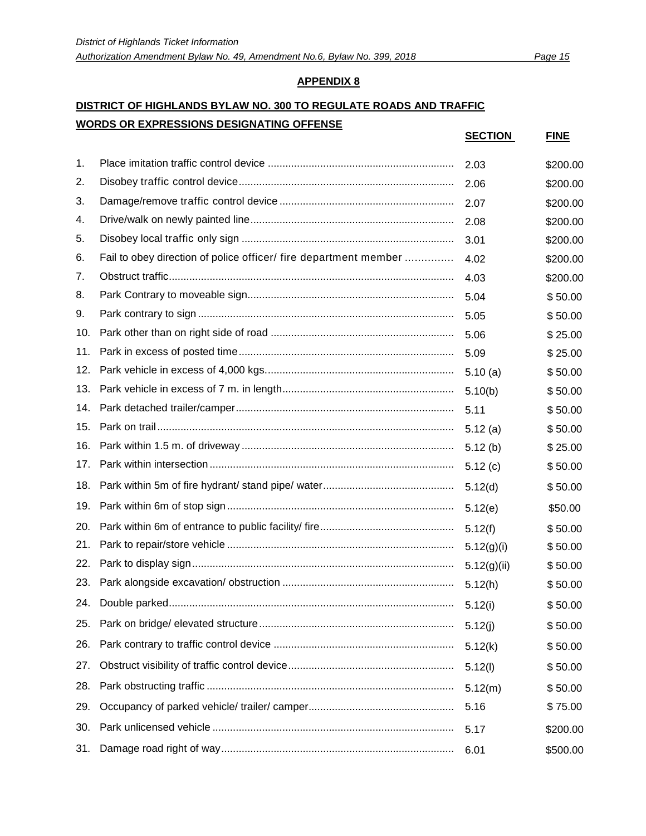# **DISTRICT OF HIGHLANDS BYLAW NO. 300 TO REGULATE ROADS AND TRAFFIC WORDS OR EXPRESSIONS DESIGNATING OFFENSE**

|     |                                                                  | <b>SECTION</b> | <b>FINE</b> |
|-----|------------------------------------------------------------------|----------------|-------------|
| 1.  |                                                                  | 2.03           | \$200.00    |
| 2.  |                                                                  | 2.06           | \$200.00    |
| 3.  |                                                                  | 2.07           | \$200.00    |
| 4.  |                                                                  | 2.08           | \$200.00    |
| 5.  |                                                                  | 3.01           | \$200.00    |
| 6.  | Fail to obey direction of police officer/ fire department member | 4.02           | \$200.00    |
| 7.  |                                                                  | 4.03           | \$200.00    |
| 8.  |                                                                  | 5.04           | \$50.00     |
| 9.  |                                                                  | 5.05           | \$50.00     |
| 10. |                                                                  | 5.06           | \$25.00     |
| 11. |                                                                  | 5.09           | \$25.00     |
| 12. |                                                                  | 5.10(a)        | \$50.00     |
| 13. |                                                                  | 5.10(b)        | \$50.00     |
| 14. |                                                                  | 5.11           | \$50.00     |
| 15. |                                                                  | 5.12(a)        | \$50.00     |
| 16. |                                                                  | 5.12(b)        | \$25.00     |
| 17. |                                                                  | 5.12(c)        | \$50.00     |
| 18. |                                                                  | 5.12(d)        | \$50.00     |
| 19. |                                                                  | 5.12(e)        | \$50.00     |
| 20. |                                                                  | 5.12(f)        | \$50.00     |
| 21. |                                                                  | 5.12(g)(i)     | \$50.00     |
| 22. |                                                                  | 5.12(g)(ii)    | \$50.00     |
| 23. |                                                                  | 5.12(h)        | \$50.00     |
| 24. |                                                                  | 5.12(i)        | \$50.00     |
| 25. |                                                                  | 5.12(j)        | \$50.00     |
| 26. |                                                                  | 5.12(k)        | \$50.00     |
| 27. |                                                                  | 5.12(l)        | \$50.00     |
| 28. |                                                                  | 5.12(m)        | \$50.00     |
| 29. |                                                                  | 5.16           | \$75.00     |
| 30. |                                                                  | 5.17           | \$200.00    |
| 31. |                                                                  | 6.01           | \$500.00    |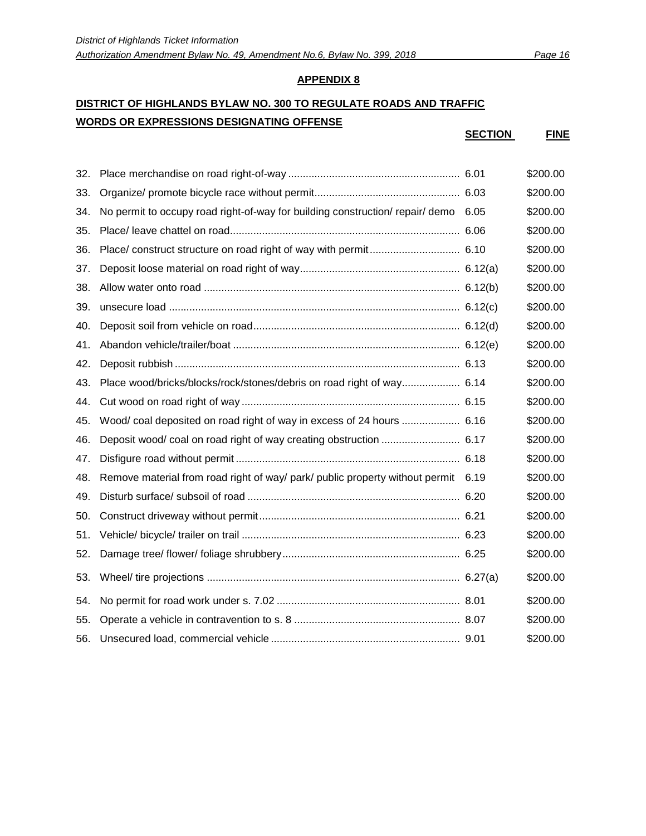# **DISTRICT OF HIGHLANDS BYLAW NO. 300 TO REGULATE ROADS AND TRAFFIC WORDS OR EXPRESSIONS DESIGNATING OFFENSE**

**SECTION FINE**

| 32. |                                                                                    | \$200.00 |
|-----|------------------------------------------------------------------------------------|----------|
| 33. |                                                                                    | \$200.00 |
| 34. | No permit to occupy road right-of-way for building construction/ repair/ demo 6.05 | \$200.00 |
| 35. |                                                                                    | \$200.00 |
| 36. |                                                                                    | \$200.00 |
| 37. |                                                                                    | \$200.00 |
| 38. |                                                                                    | \$200.00 |
| 39. |                                                                                    | \$200.00 |
| 40. |                                                                                    | \$200.00 |
| 41. |                                                                                    | \$200.00 |
| 42. |                                                                                    | \$200.00 |
| 43. | Place wood/bricks/blocks/rock/stones/debris on road right of way 6.14              | \$200.00 |
| 44. |                                                                                    | \$200.00 |
| 45. | Wood/ coal deposited on road right of way in excess of 24 hours  6.16              | \$200.00 |
| 46. |                                                                                    | \$200.00 |
| 47. |                                                                                    | \$200.00 |
| 48. | Remove material from road right of way/ park/ public property without permit 6.19  | \$200.00 |
| 49. |                                                                                    | \$200.00 |
| 50. |                                                                                    | \$200.00 |
| 51. |                                                                                    | \$200.00 |
| 52. |                                                                                    | \$200.00 |
| 53. |                                                                                    | \$200.00 |
| 54. |                                                                                    | \$200.00 |
| 55. |                                                                                    | \$200.00 |
| 56. |                                                                                    | \$200.00 |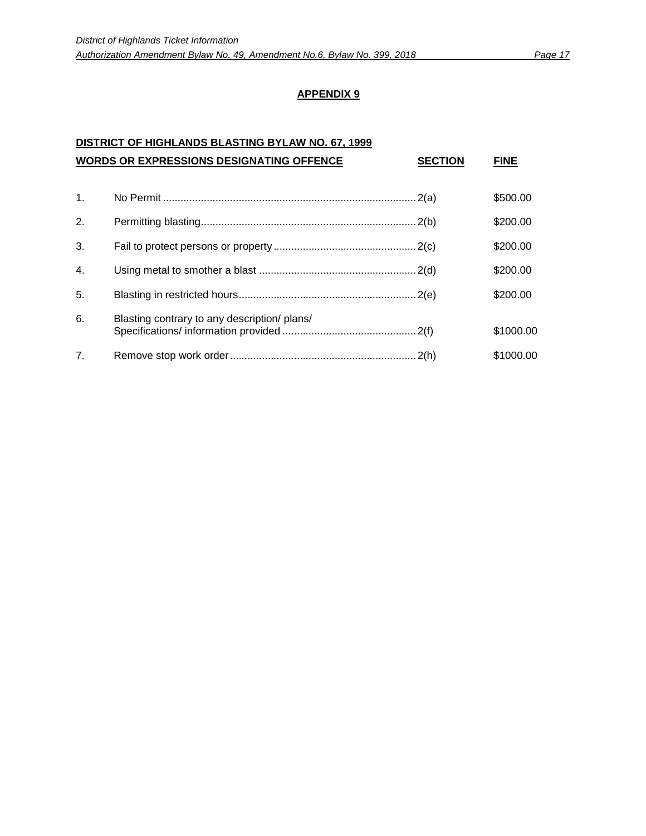#### **DISTRICT OF HIGHLANDS BLASTING BYLAW NO. 67, 1999 WORDS OR EXPRESSIONS DESIGNATING OFFENCE SECTION FINE**

|                | <b>WORDS OR EXPRESSIONS DESIGNATING OFFENCE</b> | <b>SECTION</b> | FINE      |
|----------------|-------------------------------------------------|----------------|-----------|
| $\mathbf{1}$ . |                                                 |                | \$500.00  |
| 2.             |                                                 |                | \$200.00  |
| 3.             |                                                 |                | \$200.00  |
| 4.             |                                                 |                | \$200.00  |
| 5.             |                                                 |                | \$200.00  |
| 6.             | Blasting contrary to any description/ plans/    |                | \$1000.00 |
| 7 <sub>1</sub> |                                                 |                | \$1000.00 |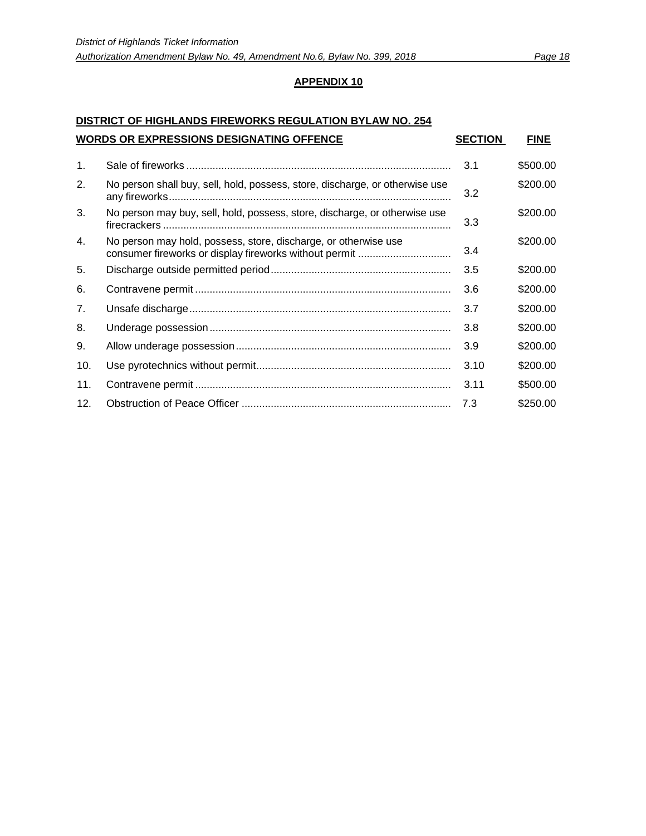# **DISTRICT OF HIGHLANDS FIREWORKS REGULATION BYLAW NO. 254 WORDS OR EXPRESSIONS DESIGNATING OFFENCE SECTION FINE**

| $\mathbf{1}$ . |                                                                              | 3.1  | \$500.00 |
|----------------|------------------------------------------------------------------------------|------|----------|
| 2.             | No person shall buy, sell, hold, possess, store, discharge, or otherwise use | 3.2  | \$200.00 |
| 3.             | No person may buy, sell, hold, possess, store, discharge, or otherwise use   | 3.3  | \$200.00 |
| 4.             | No person may hold, possess, store, discharge, or otherwise use              | 3.4  | \$200.00 |
| 5.             |                                                                              | 3.5  | \$200.00 |
| 6.             |                                                                              | 3.6  | \$200.00 |
| 7 <sub>1</sub> |                                                                              | 3.7  | \$200.00 |
| 8.             |                                                                              | 3.8  | \$200.00 |
| 9.             |                                                                              | 3.9  | \$200.00 |
| 10.            |                                                                              | 3.10 | \$200.00 |
| 11.            |                                                                              | 3.11 | \$500.00 |
| 12.            |                                                                              | 7.3  | \$250.00 |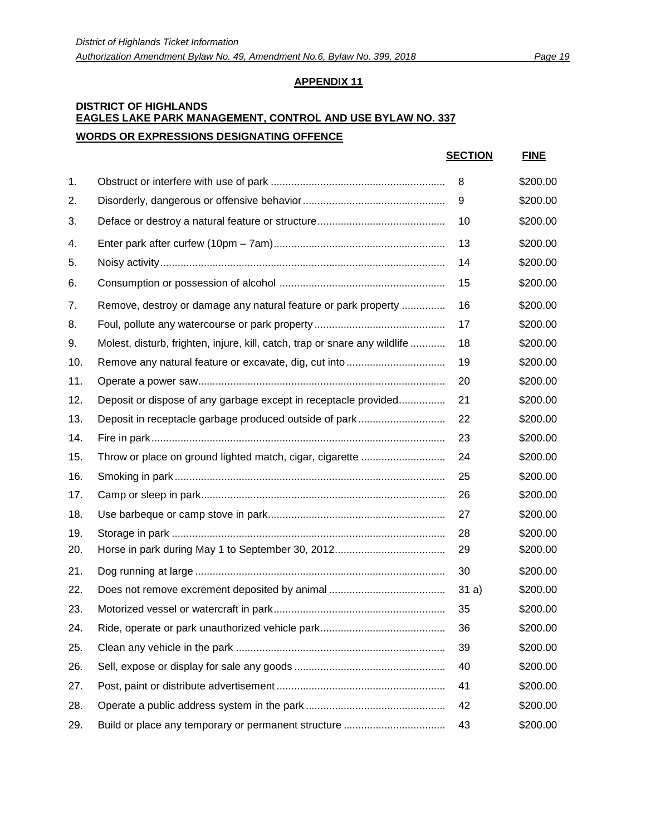## **DISTRICT OF HIGHLANDS EAGLES LAKE PARK MANAGEMENT, CONTROL AND USE BYLAW NO. 337 WORDS OR EXPRESSIONS DESIGNATING OFFENCE**

|     |                                                                            | <b>SECTION</b> | <b>FINE</b> |
|-----|----------------------------------------------------------------------------|----------------|-------------|
| 1.  |                                                                            | 8              | \$200.00    |
| 2.  |                                                                            | 9              | \$200.00    |
| 3.  |                                                                            | 10             | \$200.00    |
| 4.  |                                                                            | 13             | \$200.00    |
| 5.  |                                                                            | 14             | \$200.00    |
| 6.  |                                                                            | 15             | \$200.00    |
| 7.  | Remove, destroy or damage any natural feature or park property             | 16             | \$200.00    |
| 8.  |                                                                            | 17             | \$200.00    |
| 9.  | Molest, disturb, frighten, injure, kill, catch, trap or snare any wildlife | 18             | \$200.00    |
| 10. |                                                                            | 19             | \$200.00    |
| 11. |                                                                            | 20             | \$200.00    |
| 12. | Deposit or dispose of any garbage except in receptacle provided            | 21             | \$200.00    |
| 13. |                                                                            | 22             | \$200.00    |
| 14. |                                                                            | 23             | \$200.00    |
| 15. |                                                                            | 24             | \$200.00    |
| 16. |                                                                            | 25             | \$200.00    |
| 17. |                                                                            | 26             | \$200.00    |
| 18. |                                                                            | 27             | \$200.00    |
| 19. |                                                                            | 28             | \$200.00    |
| 20. |                                                                            | 29             | \$200.00    |
| 21. |                                                                            | 30             | \$200.00    |
| 22. |                                                                            | 31a)           | \$200.00    |
| 23. |                                                                            | 35             | \$200.00    |
| 24. |                                                                            | 36             | \$200.00    |
| 25. |                                                                            | 39             | \$200.00    |
| 26. |                                                                            | 40             | \$200.00    |
| 27. |                                                                            | 41             | \$200.00    |
| 28. |                                                                            | 42             | \$200.00    |
| 29. | Build or place any temporary or permanent structure                        | 43             | \$200.00    |